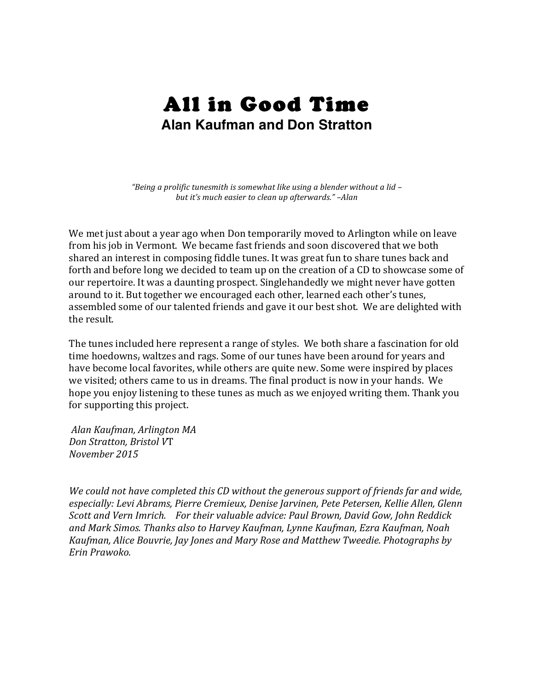## All in Good Time **Alan Kaufman and Don Stratton**

*"Being a prolific tunesmith is somewhat like using a blender without a lid –* but it's much easier to clean up afterwards." -Alan

We met just about a year ago when Don temporarily moved to Arlington while on leave from his job in Vermont. We became fast friends and soon discovered that we both shared an interest in composing fiddle tunes. It was great fun to share tunes back and forth and before long we decided to team up on the creation of a CD to showcase some of our repertoire. It was a daunting prospect. Singlehandedly we might never have gotten around to it. But together we encouraged each other, learned each other's tunes, assembled some of our talented friends and gave it our best shot. We are delighted with the result.

The tunes included here represent a range of styles. We both share a fascination for old time hoedowns, waltzes and rags. Some of our tunes have been around for years and have become local favorites, while others are quite new. Some were inspired by places we visited; others came to us in dreams. The final product is now in your hands. We hope you enjoy listening to these tunes as much as we enjoyed writing them. Thank you for supporting this project.

*Alan Kaufman, Arlington MA Don Stratton, Bristol V*T *November 2015*

*We could not have completed this CD without the generous support of friends far and wide, especially: Levi Abrams, Pierre Cremieux, Denise Jarvinen, Pete Petersen, Kellie Allen, Glenn Scott and Vern Imrich. For their valuable advice: Paul Brown, David Gow, John Reddick and Mark Simos. Thanks also to Harvey Kaufman, Lynne Kaufman, Ezra Kaufman, Noah* Kaufman, Alice Bouvrie, Jay Jones and Mary Rose and Matthew Tweedie. Photographs by *Erin Prawoko.*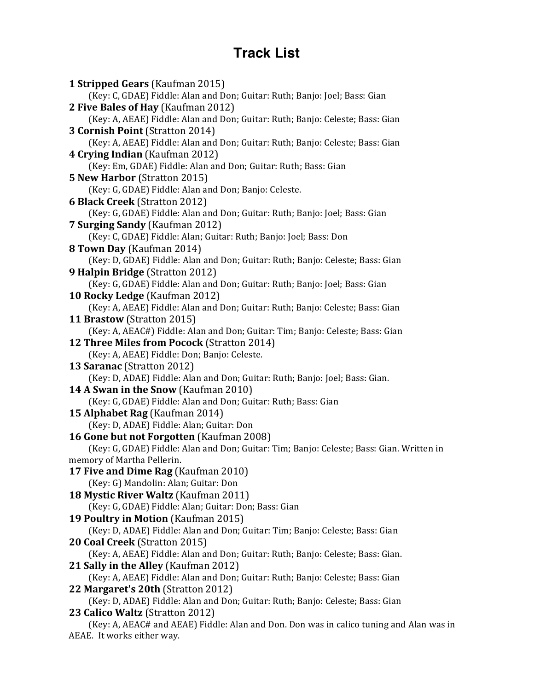## **Track List**

| <b>1 Stripped Gears</b> (Kaufman 2015)                                                   |
|------------------------------------------------------------------------------------------|
| (Key: C, GDAE) Fiddle: Alan and Don; Guitar: Ruth; Banjo: Joel; Bass: Gian               |
| 2 Five Bales of Hay (Kaufman 2012)                                                       |
| (Key: A, AEAE) Fiddle: Alan and Don; Guitar: Ruth; Banjo: Celeste; Bass: Gian            |
| <b>3 Cornish Point (Stratton 2014)</b>                                                   |
| (Key: A, AEAE) Fiddle: Alan and Don; Guitar: Ruth; Banjo: Celeste; Bass: Gian            |
| 4 Crying Indian (Kaufman 2012)                                                           |
| (Key: Em, GDAE) Fiddle: Alan and Don; Guitar: Ruth; Bass: Gian                           |
| <b>5 New Harbor</b> (Stratton 2015)                                                      |
| (Key: G, GDAE) Fiddle: Alan and Don; Banjo: Celeste.                                     |
| <b>6 Black Creek</b> (Stratton 2012)                                                     |
| (Key: G, GDAE) Fiddle: Alan and Don; Guitar: Ruth; Banjo: Joel; Bass: Gian               |
| <b>7 Surging Sandy</b> (Kaufman 2012)                                                    |
| (Key: C, GDAE) Fiddle: Alan; Guitar: Ruth; Banjo: Joel; Bass: Don                        |
| 8 Town Day (Kaufman 2014)                                                                |
| (Key: D, GDAE) Fiddle: Alan and Don; Guitar: Ruth; Banjo: Celeste; Bass: Gian            |
| <b>9 Halpin Bridge</b> (Stratton 2012)                                                   |
| (Key: G, GDAE) Fiddle: Alan and Don; Guitar: Ruth; Banjo: Joel; Bass: Gian               |
| 10 Rocky Ledge (Kaufman 2012)                                                            |
| (Key: A, AEAE) Fiddle: Alan and Don; Guitar: Ruth; Banjo: Celeste; Bass: Gian            |
| 11 Brastow (Stratton 2015)                                                               |
| (Key: A, AEAC#) Fiddle: Alan and Don; Guitar: Tim; Banjo: Celeste; Bass: Gian            |
| <b>12 Three Miles from Pocock (Stratton 2014)</b>                                        |
| (Key: A, AEAE) Fiddle: Don; Banjo: Celeste.                                              |
| 13 Saranac (Stratton 2012)                                                               |
| (Key: D, ADAE) Fiddle: Alan and Don; Guitar: Ruth; Banjo: Joel; Bass: Gian.              |
| 14 A Swan in the Snow (Kaufman 2010)                                                     |
| (Key: G, GDAE) Fiddle: Alan and Don; Guitar: Ruth; Bass: Gian                            |
| 15 Alphabet Rag (Kaufman 2014)                                                           |
| (Key: D, ADAE) Fiddle: Alan; Guitar: Don                                                 |
| 16 Gone but not Forgotten (Kaufman 2008)                                                 |
| (Key: G, GDAE) Fiddle: Alan and Don; Guitar: Tim; Banjo: Celeste; Bass: Gian. Written in |
| memory of Martha Pellerin.                                                               |
| 17 Five and Dime Rag (Kaufman 2010)                                                      |
| (Key: G) Mandolin: Alan; Guitar: Don                                                     |
| 18 Mystic River Waltz (Kaufman 2011)                                                     |
| (Key: G, GDAE) Fiddle: Alan; Guitar: Don; Bass: Gian                                     |
| 19 Poultry in Motion (Kaufman 2015)                                                      |
| (Key: D, ADAE) Fiddle: Alan and Don; Guitar: Tim; Banjo: Celeste; Bass: Gian             |
| 20 Coal Creek (Stratton 2015)                                                            |
| (Key: A, AEAE) Fiddle: Alan and Don; Guitar: Ruth; Banjo: Celeste; Bass: Gian.           |
| 21 Sally in the Alley (Kaufman 2012)                                                     |
| (Key: A, AEAE) Fiddle: Alan and Don; Guitar: Ruth; Banjo: Celeste; Bass: Gian            |
| 22 Margaret's 20th (Stratton 2012)                                                       |
| (Key: D, ADAE) Fiddle: Alan and Don; Guitar: Ruth; Banjo: Celeste; Bass: Gian            |
| 23 Calico Waltz (Stratton 2012)                                                          |
| (Key: A, AEAC# and AEAE) Fiddle: Alan and Don. Don was in calico tuning and Alan was in  |
| AEAE. It works either way.                                                               |